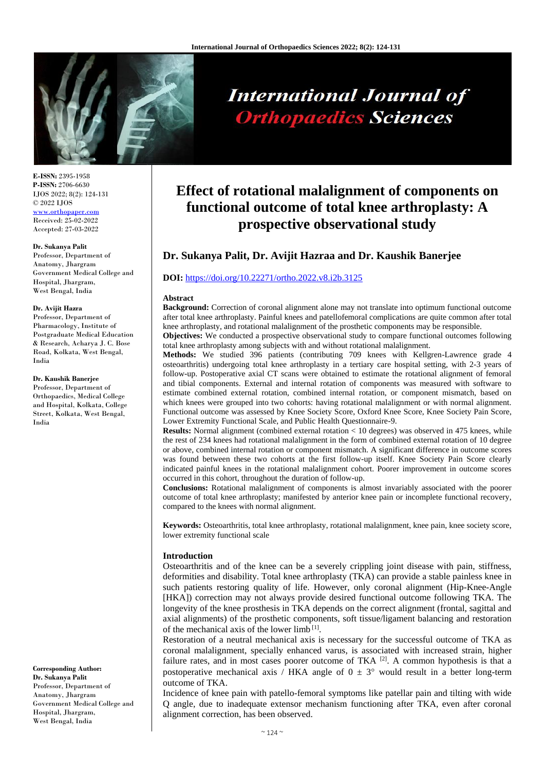

# **International Journal of Orthopaedics Sciences**

**E-ISSN:** 2395-1958 **P-ISSN:** 2706-6630 IJOS 2022; 8(2): 124-131 © 2022 IJOS [www.orthopaper.com](http://www.orthopaper.com/) Received: 25-02-2022

# Accepted: 27-03-2022 **Dr. Sukanya Palit**

Professor, Department of Anatomy, Jhargram Government Medical College and Hospital, Jhargram, West Bengal, India

#### **Dr. Avijit Hazra**

Professor, Department of Pharmacology, Institute of Postgraduate Medical Education & Research, Acharya J. C. Bose Road, Kolkata, West Bengal, India

#### **Dr. Kaushik Banerjee**

Professor, Department of Orthopaedics, Medical College and Hospital, Kolkata, College Street, Kolkata, West Bengal, India

**Corresponding Author: Dr. Sukanya Palit** Professor, Department of Anatomy, Jhargram Government Medical College and Hospital, Jhargram, West Bengal, India

# **Effect of rotational malalignment of components on functional outcome of total knee arthroplasty: A prospective observational study**

# **Dr. Sukanya Palit, Dr. Avijit Hazraa and Dr. Kaushik Banerjee**

#### **DOI:** <https://doi.org/10.22271/ortho.2022.v8.i2b.3125>

#### **Abstract**

**Background:** Correction of coronal alignment alone may not translate into optimum functional outcome after total knee arthroplasty. Painful knees and patellofemoral complications are quite common after total knee arthroplasty, and rotational malalignment of the prosthetic components may be responsible.

**Objectives:** We conducted a prospective observational study to compare functional outcomes following total knee arthroplasty among subjects with and without rotational malalignment.

**Methods:** We studied 396 patients (contributing 709 knees with Kellgren-Lawrence grade 4 osteoarthritis) undergoing total knee arthroplasty in a tertiary care hospital setting, with 2-3 years of follow-up. Postoperative axial CT scans were obtained to estimate the rotational alignment of femoral and tibial components. External and internal rotation of components was measured with software to estimate combined external rotation, combined internal rotation, or component mismatch, based on which knees were grouped into two cohorts: having rotational malalignment or with normal alignment. Functional outcome was assessed by Knee Society Score, Oxford Knee Score, Knee Society Pain Score, Lower Extremity Functional Scale, and Public Health Questionnaire-9.

**Results:** Normal alignment (combined external rotation < 10 degrees) was observed in 475 knees, while the rest of 234 knees had rotational malalignment in the form of combined external rotation of 10 degree or above, combined internal rotation or component mismatch. A significant difference in outcome scores was found between these two cohorts at the first follow-up itself. Knee Society Pain Score clearly indicated painful knees in the rotational malalignment cohort. Poorer improvement in outcome scores occurred in this cohort, throughout the duration of follow-up.

**Conclusions:** Rotational malalignment of components is almost invariably associated with the poorer outcome of total knee arthroplasty; manifested by anterior knee pain or incomplete functional recovery, compared to the knees with normal alignment.

**Keywords:** Osteoarthritis, total knee arthroplasty, rotational malalignment, knee pain, knee society score, lower extremity functional scale

# **Introduction**

Osteoarthritis and of the knee can be a severely crippling joint disease with pain, stiffness, deformities and disability. Total knee arthroplasty (TKA) can provide a stable painless knee in such patients restoring quality of life. However, only coronal alignment (Hip-Knee-Angle [HKA]) correction may not always provide desired functional outcome following TKA. The longevity of the knee prosthesis in TKA depends on the correct alignment (frontal, sagittal and axial alignments) of the prosthetic components, soft tissue/ligament balancing and restoration of the mechanical axis of the lower limb<sup>[1]</sup>.

Restoration of a neutral mechanical axis is necessary for the successful outcome of TKA as coronal malalignment, specially enhanced varus, is associated with increased strain, higher failure rates, and in most cases poorer outcome of TKA  $^{[2]}$ . A common hypothesis is that a postoperative mechanical axis / HKA angle of  $0 \pm 3^{\circ}$  would result in a better long-term outcome of TKA.

Incidence of knee pain with patello-femoral symptoms like patellar pain and tilting with wide Q angle, due to inadequate extensor mechanism functioning after TKA, even after coronal alignment correction, has been observed.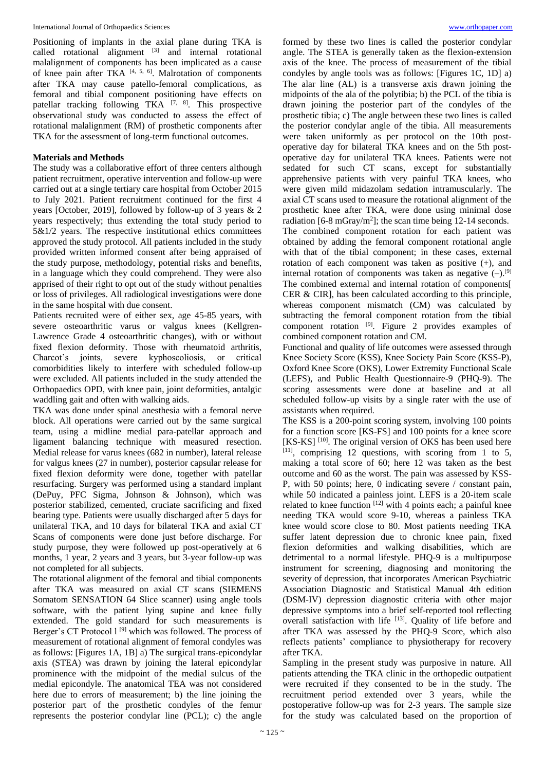Positioning of implants in the axial plane during TKA is called rotational alignment [3] and internal rotational malalignment of components has been implicated as a cause of knee pain after TKA  $[4, 5, 6]$ . Malrotation of components after TKA may cause patello-femoral complications, as femoral and tibial component positioning have effects on patellar tracking following TKA  $[7, 8]$ . This prospective observational study was conducted to assess the effect of rotational malalignment (RM) of prosthetic components after TKA for the assessment of long-term functional outcomes.

# **Materials and Methods**

The study was a collaborative effort of three centers although patient recruitment, operative intervention and follow-up were carried out at a single tertiary care hospital from October 2015 to July 2021. Patient recruitment continued for the first 4 years [October, 2019], followed by follow-up of 3 years & 2 years respectively; thus extending the total study period to 5&1/2 years. The respective institutional ethics committees approved the study protocol. All patients included in the study provided written informed consent after being appraised of the study purpose, methodology, potential risks and benefits, in a language which they could comprehend. They were also apprised of their right to opt out of the study without penalties or loss of privileges. All radiological investigations were done in the same hospital with due consent.

Patients recruited were of either sex, age 45-85 years, with severe osteoarthritic varus or valgus knees (Kellgren-Lawrence Grade 4 osteoarthritic changes), with or without fixed flexion deformity. Those with rheumatoid arthritis, Charcot's joints, severe kyphoscoliosis, or critical comorbidities likely to interfere with scheduled follow-up were excluded. All patients included in the study attended the Orthopaedics OPD, with knee pain, joint deformities, antalgic waddling gait and often with walking aids.

TKA was done under spinal anesthesia with a femoral nerve block. All operations were carried out by the same surgical team, using a midline medial para-patellar approach and ligament balancing technique with measured resection. Medial release for varus knees (682 in number), lateral release for valgus knees (27 in number), posterior capsular release for fixed flexion deformity were done, together with patellar resurfacing. Surgery was performed using a standard implant (DePuy, PFC Sigma, Johnson & Johnson), which was posterior stabilized, cemented, cruciate sacrificing and fixed bearing type. Patients were usually discharged after 5 days for unilateral TKA, and 10 days for bilateral TKA and axial CT Scans of components were done just before discharge. For study purpose, they were followed up post-operatively at 6 months, 1 year, 2 years and 3 years, but 3-year follow-up was not completed for all subjects.

The rotational alignment of the femoral and tibial components after TKA was measured on axial CT scans (SIEMENS Somatom SENSATION 64 Slice scanner) using angle tools software, with the patient lying supine and knee fully extended. The gold standard for such measurements is Berger's CT Protocol l<sup>[9]</sup> which was followed. The process of measurement of rotational alignment of femoral condyles was as follows: [Figures 1A, 1B] a) The surgical trans-epicondylar axis (STEA) was drawn by joining the lateral epicondylar prominence with the midpoint of the medial sulcus of the medial epicondyle. The anatomical TEA was not considered here due to errors of measurement; b) the line joining the posterior part of the prosthetic condyles of the femur represents the posterior condylar line (PCL); c) the angle

formed by these two lines is called the posterior condylar angle. The STEA is generally taken as the flexion-extension axis of the knee. The process of measurement of the tibial condyles by angle tools was as follows: [Figures 1C, 1D] a) The alar line (AL) is a transverse axis drawn joining the midpoints of the ala of the polytibia; b) the PCL of the tibia is drawn joining the posterior part of the condyles of the prosthetic tibia; c) The angle between these two lines is called the posterior condylar angle of the tibia. All measurements were taken uniformly as per protocol on the 10th postoperative day for bilateral TKA knees and on the 5th postoperative day for unilateral TKA knees. Patients were not sedated for such CT scans, except for substantially apprehensive patients with very painful TKA knees, who were given mild midazolam sedation intramuscularly. The axial CT scans used to measure the rotational alignment of the prosthetic knee after TKA, were done using minimal dose radiation [6-8 mGray/m<sup>2</sup>]; the scan time being 12-14 seconds. The combined component rotation for each patient was obtained by adding the femoral component rotational angle with that of the tibial component; in these cases, external rotation of each component was taken as positive (+), and internal rotation of components was taken as negative  $(-)$ .<sup>[9]</sup> The combined external and internal rotation of components[ CER & CIR], has been calculated according to this principle, whereas component mismatch (CM) was calculated by subtracting the femoral component rotation from the tibial component rotation  $[9]$ . Figure 2 provides examples of combined component rotation and CM.

Functional and quality of life outcomes were assessed through Knee Society Score (KSS), Knee Society Pain Score (KSS-P), Oxford Knee Score (OKS), Lower Extremity Functional Scale (LEFS), and Public Health Questionnaire-9 (PHQ-9). The scoring assessments were done at baseline and at all scheduled follow-up visits by a single rater with the use of assistants when required.

The KSS is a 200-point scoring system, involving 100 points for a function score [KS-FS] and 100 points for a knee score [KS-KS]<sup>[10]</sup>. The original version of OKS has been used here  $[11]$ , comprising 12 questions, with scoring from 1 to 5, making a total score of 60; here 12 was taken as the best outcome and 60 as the worst. The pain was assessed by KSS-P, with 50 points; here, 0 indicating severe / constant pain, while 50 indicated a painless joint. LEFS is a 20-item scale related to knee function [12] with 4 points each; a painful knee needing TKA would score 9-10, whereas a painless TKA knee would score close to 80. Most patients needing TKA suffer latent depression due to chronic knee pain, fixed flexion deformities and walking disabilities, which are detrimental to a normal lifestyle. PHQ-9 is a multipurpose instrument for screening, diagnosing and monitoring the severity of depression, that incorporates American Psychiatric Association Diagnostic and Statistical Manual 4th edition (DSM-IV) depression diagnostic criteria with other major depressive symptoms into a brief self-reported tool reflecting overall satisfaction with life [13]. Quality of life before and after TKA was assessed by the PHQ-9 Score, which also reflects patients' compliance to physiotherapy for recovery after TKA.

Sampling in the present study was purposive in nature. All patients attending the TKA clinic in the orthopedic outpatient were recruited if they consented to be in the study. The recruitment period extended over 3 years, while the postoperative follow-up was for 2-3 years. The sample size for the study was calculated based on the proportion of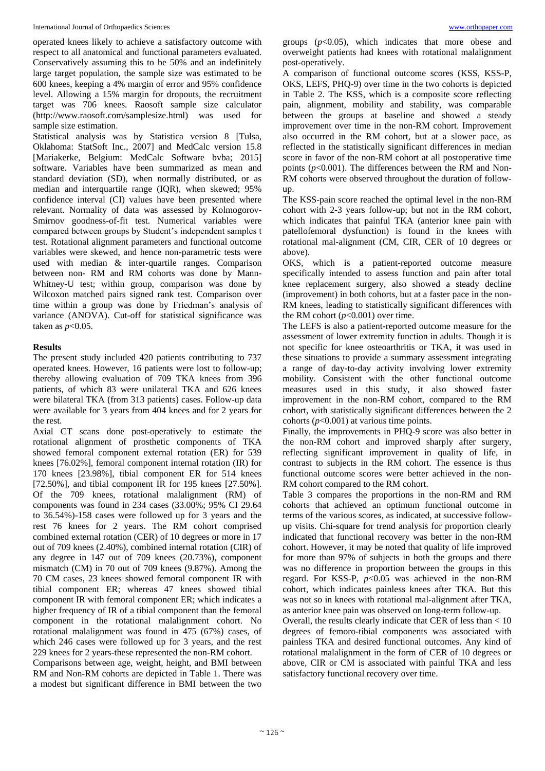operated knees likely to achieve a satisfactory outcome with respect to all anatomical and functional parameters evaluated. Conservatively assuming this to be 50% and an indefinitely large target population, the sample size was estimated to be 600 knees, keeping a 4% margin of error and 95% confidence level. Allowing a 15% margin for dropouts, the recruitment target was 706 knees. Raosoft sample size calculator (http://www.raosoft.com/samplesize.html) was used for sample size estimation.

Statistical analysis was by Statistica version 8 [Tulsa, Oklahoma: StatSoft Inc., 2007] and MedCalc version 15.8 [Mariakerke, Belgium: MedCalc Software bvba; 2015] software. Variables have been summarized as mean and standard deviation (SD), when normally distributed, or as median and interquartile range (IQR), when skewed; 95% confidence interval (CI) values have been presented where relevant. Normality of data was assessed by Kolmogorov-Smirnov goodness-of-fit test. Numerical variables were compared between groups by Student's independent samples t test. Rotational alignment parameters and functional outcome variables were skewed, and hence non-parametric tests were used with median & inter-quartile ranges. Comparison between non- RM and RM cohorts was done by Mann-Whitney-U test; within group, comparison was done by Wilcoxon matched pairs signed rank test. Comparison over time within a group was done by Friedman's analysis of variance (ANOVA). Cut-off for statistical significance was taken as *p*<0.05.

#### **Results**

The present study included 420 patients contributing to 737 operated knees. However, 16 patients were lost to follow-up; thereby allowing evaluation of 709 TKA knees from 396 patients, of which 83 were unilateral TKA and 626 knees were bilateral TKA (from 313 patients) cases. Follow-up data were available for 3 years from 404 knees and for 2 years for the rest.

Axial CT scans done post-operatively to estimate the rotational alignment of prosthetic components of TKA showed femoral component external rotation (ER) for 539 knees [76.02%], femoral component internal rotation (IR) for 170 knees [23.98%], tibial component ER for 514 knees [72.50%], and tibial component IR for 195 knees [27.50%]. Of the 709 knees, rotational malalignment (RM) of components was found in 234 cases (33.00%; 95% CI 29.64 to 36.54%)-158 cases were followed up for 3 years and the rest 76 knees for 2 years. The RM cohort comprised combined external rotation (CER) of 10 degrees or more in 17 out of 709 knees (2.40%), combined internal rotation (CIR) of any degree in 147 out of 709 knees (20.73%), component mismatch (CM) in 70 out of 709 knees (9.87%). Among the 70 CM cases, 23 knees showed femoral component IR with tibial component ER; whereas 47 knees showed tibial component IR with femoral component ER; which indicates a higher frequency of IR of a tibial component than the femoral component in the rotational malalignment cohort. No rotational malalignment was found in 475 (67%) cases, of which 246 cases were followed up for 3 years, and the rest 229 knees for 2 years-these represented the non-RM cohort.

Comparisons between age, weight, height, and BMI between RM and Non-RM cohorts are depicted in Table 1. There was a modest but significant difference in BMI between the two

groups (*p*<0.05), which indicates that more obese and overweight patients had knees with rotational malalignment post-operatively.

A comparison of functional outcome scores (KSS, KSS-P, OKS, LEFS, PHQ-9) over time in the two cohorts is depicted in Table 2. The KSS, which is a composite score reflecting pain, alignment, mobility and stability, was comparable between the groups at baseline and showed a steady improvement over time in the non-RM cohort. Improvement also occurred in the RM cohort, but at a slower pace, as reflected in the statistically significant differences in median score in favor of the non-RM cohort at all postoperative time points (*p*<0.001). The differences between the RM and Non-RM cohorts were observed throughout the duration of followup.

The KSS-pain score reached the optimal level in the non-RM cohort with 2-3 years follow-up; but not in the RM cohort, which indicates that painful TKA (anterior knee pain with patellofemoral dysfunction) is found in the knees with rotational mal-alignment (CM, CIR, CER of 10 degrees or above).

OKS, which is a patient-reported outcome measure specifically intended to assess function and pain after total knee replacement surgery, also showed a steady decline (improvement) in both cohorts, but at a faster pace in the non-RM knees, leading to statistically significant differences with the RM cohort  $(p<0.001)$  over time.

The LEFS is also a patient-reported outcome measure for the assessment of lower extremity function in adults. Though it is not specific for knee osteoarthritis or TKA, it was used in these situations to provide a summary assessment integrating a range of day-to-day activity involving lower extremity mobility. Consistent with the other functional outcome measures used in this study, it also showed faster improvement in the non-RM cohort, compared to the RM cohort, with statistically significant differences between the 2 cohorts  $(p<0.001)$  at various time points.

Finally, the improvements in PHQ-9 score was also better in the non-RM cohort and improved sharply after surgery, reflecting significant improvement in quality of life, in contrast to subjects in the RM cohort. The essence is thus functional outcome scores were better achieved in the non-RM cohort compared to the RM cohort.

Table 3 compares the proportions in the non-RM and RM cohorts that achieved an optimum functional outcome in terms of the various scores, as indicated, at successive followup visits. Chi-square for trend analysis for proportion clearly indicated that functional recovery was better in the non-RM cohort. However, it may be noted that quality of life improved for more than 97% of subjects in both the groups and there was no difference in proportion between the groups in this regard. For KSS-P, *p*<0.05 was achieved in the non-RM cohort, which indicates painless knees after TKA. But this was not so in knees with rotational mal-alignment after TKA, as anterior knee pain was observed on long-term follow-up.

Overall, the results clearly indicate that CER of less than < 10 degrees of femoro-tibial components was associated with painless TKA and desired functional outcomes. Any kind of rotational malalignment in the form of CER of 10 degrees or above, CIR or CM is associated with painful TKA and less satisfactory functional recovery over time.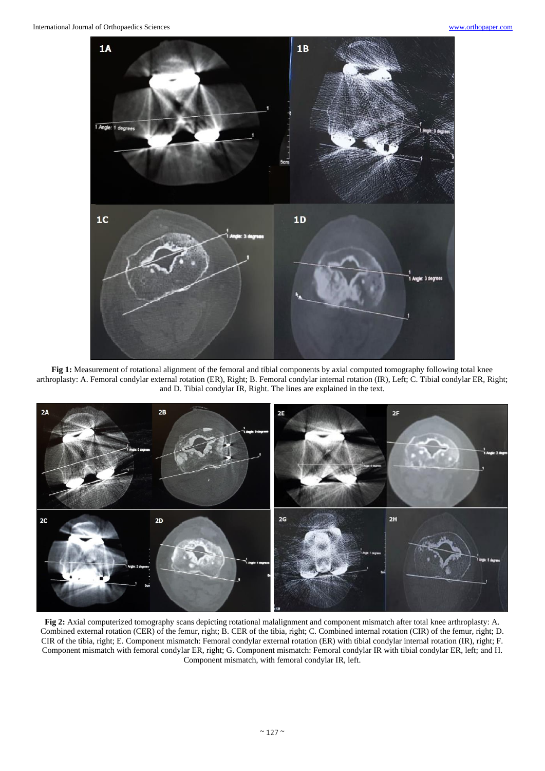

**Fig 1:** Measurement of rotational alignment of the femoral and tibial components by axial computed tomography following total knee arthroplasty: A. Femoral condylar external rotation (ER), Right; B. Femoral condylar internal rotation (IR), Left; C. Tibial condylar ER, Right; and D. Tibial condylar IR, Right. The lines are explained in the text.

![](_page_3_Figure_4.jpeg)

**Fig 2:** Axial computerized tomography scans depicting rotational malalignment and component mismatch after total knee arthroplasty: A. Combined external rotation (CER) of the femur, right; B. CER of the tibia, right; C. Combined internal rotation (CIR) of the femur, right; D. CIR of the tibia, right; E. Component mismatch: Femoral condylar external rotation (ER) with tibial condylar internal rotation (IR), right; F. Component mismatch with femoral condylar ER, right; G. Component mismatch: Femoral condylar IR with tibial condylar ER, left; and H. Component mismatch, with femoral condylar IR, left.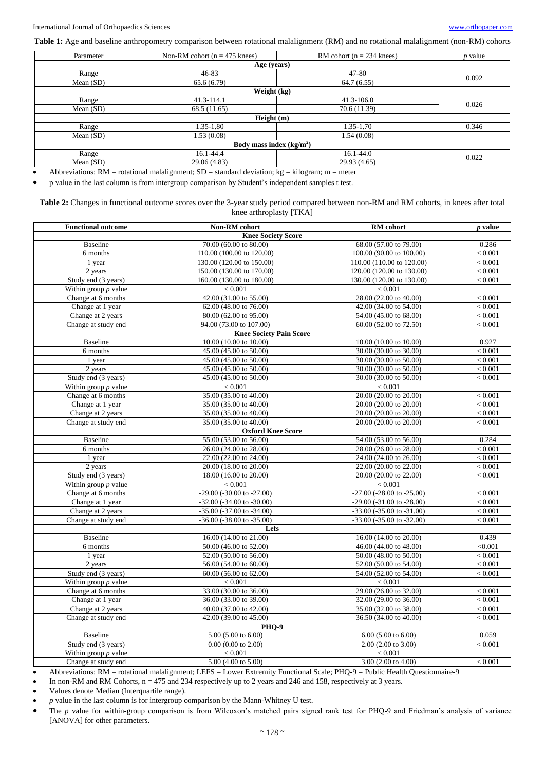**Table 1:** Age and baseline anthropometry comparison between rotational malalignment (RM) and no rotational malalignment (non-RM) cohorts

| Parameter                 | Non-RM cohort ( $n = 475$ knees) | RM cohort ( $n = 234$ knees) | $p$ value |  |  |
|---------------------------|----------------------------------|------------------------------|-----------|--|--|
| Age (years)               |                                  |                              |           |  |  |
| Range                     | $46 - 83$                        | 47-80                        | 0.092     |  |  |
| Mean $(SD)$               | 65.6(6.79)                       | 64.7(6.55)                   |           |  |  |
| Weight (kg)               |                                  |                              |           |  |  |
| Range                     | 41.3-114.1                       | $41.3 - 106.0$               | 0.026     |  |  |
| Mean $(SD)$               | 68.5 (11.65)                     | 70.6 (11.39)                 |           |  |  |
| Height (m)                |                                  |                              |           |  |  |
| Range                     | 1.35-1.80                        | 1.35-1.70                    | 0.346     |  |  |
| Mean $(SD)$               | 1.53(0.08)                       | 1.54(0.08)                   |           |  |  |
| Body mass index $(kg/m2)$ |                                  |                              |           |  |  |
| Range                     | 16.1-44.4                        | $16.1 - 44.0$                | 0.022     |  |  |
| Mean $(SD)$               | 29.06 (4.83)                     | 29.93 (4.65)                 |           |  |  |

Abbreviations: RM = rotational malalignment; SD = standard deviation;  $kg = kilogram$ ; m = meter

p value in the last column is from intergroup comparison by Student's independent samples t test.

#### **Table 2:** Changes in functional outcome scores over the 3-year study period compared between non-RM and RM cohorts, in knees after total knee arthroplasty [TKA]

| <b>Functional outcome</b> | Non-RM cohort                     | <b>RM</b> cohort                  | <i>p</i> value |  |  |  |
|---------------------------|-----------------------------------|-----------------------------------|----------------|--|--|--|
| <b>Knee Society Score</b> |                                   |                                   |                |  |  |  |
| <b>Baseline</b>           | 70.00 (60.00 to 80.00)            | 68.00 (57.00 to 79.00)            | 0.286          |  |  |  |
| 6 months                  | 110.00 (100.00 to 120.00)         | 100.00 (90.00 to 100.00)          | < 0.001        |  |  |  |
| 1 year                    | 130.00 (120.00 to 150.00)         | 110.00 (110.00 to 120.00)         | < 0.001        |  |  |  |
| 2 years                   | 150.00 (130.00 to 170.00)         | 120.00 (120.00 to 130.00)         | < 0.001        |  |  |  |
| Study end (3 years)       | 160.00 (130.00 to 180.00)         | 130.00 (120.00 to 130.00)         | < 0.001        |  |  |  |
| Within group $p$ value    | < 0.001                           | < 0.001                           |                |  |  |  |
| Change at 6 months        | 42.00 (31.00 to 55.00)            | 28.00 (22.00 to 40.00)            | < 0.001        |  |  |  |
| Change at 1 year          | 62.00 (48.00 to 76.00)            | 42.00 (34.00 to 54.00)            | < 0.001        |  |  |  |
| Change at 2 years         | 80.00 (62.00 to 95.00)            | 54.00 (45.00 to 68.00)            | < 0.001        |  |  |  |
| Change at study end       | 94.00 (73.00 to 107.00)           | 60.00 (52.00 to 72.50)            | < 0.001        |  |  |  |
|                           | <b>Knee Society Pain Score</b>    |                                   |                |  |  |  |
| <b>Baseline</b>           | 10.00 (10.00 to 10.00)            | 10.00 (10.00 to 10.00)            | 0.927          |  |  |  |
| 6 months                  | 45.00 (45.00 to 50.00)            | 30.00 (30.00 to 30.00)            | < 0.001        |  |  |  |
| 1 year                    | 45.00 (45.00 to 50.00)            | 30.00 (30.00 to 50.00)            | < 0.001        |  |  |  |
| 2 years                   | 45.00 (45.00 to 50.00)            | 30.00 (30.00 to 50.00)            | < 0.001        |  |  |  |
| Study end (3 years)       | 45.00 (45.00 to 50.00)            | 30.00 (30.00 to 50.00)            | < 0.001        |  |  |  |
| Within group $p$ value    | < 0.001                           | < 0.001                           |                |  |  |  |
| Change at 6 months        | 35.00 (35.00 to 40.00)            | 20.00 (20.00 to 20.00)            | < 0.001        |  |  |  |
| Change at 1 year          | 35.00 (35.00 to 40.00)            | 20.00 (20.00 to 20.00)            | < 0.001        |  |  |  |
| Change at 2 years         | 35.00 (35.00 to 40.00)            | 20.00 (20.00 to 20.00)            | < 0.001        |  |  |  |
| Change at study end       | 35.00 (35.00 to 40.00)            | 20.00 (20.00 to 20.00)            | < 0.001        |  |  |  |
|                           | <b>Oxford Knee Score</b>          |                                   |                |  |  |  |
| <b>Baseline</b>           | 55.00 (53.00 to 56.00)            | 54.00 (53.00 to 56.00)            | 0.284          |  |  |  |
| 6 months                  | 26.00 (24.00 to 28.00)            | 28.00 (26.00 to 28.00)            | < 0.001        |  |  |  |
| 1 year                    | 22.00 (22.00 to 24.00)            | 24.00 (24.00 to 26.00)            | < 0.001        |  |  |  |
| 2 years                   | 20.00 (18.00 to 20.00)            | 22.00 (20.00 to 22.00)            | < 0.001        |  |  |  |
| Study end (3 years)       | 18.00 (16.00 to 20.00)            | 20.00(20.00 to 22.00)             | < 0.001        |  |  |  |
| Within group $p$ value    | < 0.001                           | < 0.001                           |                |  |  |  |
| Change at 6 months        | $-29.00$ $(-30.00$ to $-27.00)$   | $-27.00$ ( $-28.00$ to $-25.00$ ) | < 0.001        |  |  |  |
| Change at 1 year          | $-32.00$ $(-34.00$ to $-30.00)$   | -29.00 (-31.00 to -28.00)         | < 0.001        |  |  |  |
| Change at 2 years         | $-35.00$ $(-37.00$ to $-34.00)$   | $-33.00$ $(-35.00$ to $-31.00)$   | < 0.001        |  |  |  |
| Change at study end       | $-36.00$ ( $-38.00$ to $-35.00$ ) | -33.00 (-35.00 to -32.00)         | < 0.001        |  |  |  |
| Lefs                      |                                   |                                   |                |  |  |  |
| <b>Baseline</b>           | 16.00 (14.00 to 21.00)            | 16.00 (14.00 to 20.00)            | 0.439          |  |  |  |
| 6 months                  | 50.00 (46.00 to 52.00)            | 46.00 (44.00 to 48.00)            | < 0.001        |  |  |  |
| 1 year                    | 52.00 (50.00 to 56.00)            | 50.00 (48.00 to 50.00)            | < 0.001        |  |  |  |
| 2 years                   | 56.00 (54.00 to 60.00)            | 52.00 (50.00 to 54.00)            | < 0.001        |  |  |  |
| Study end (3 years)       | $60.00$ (56.00 to 62.00)          | 54.00 (52.00 to 54.00)            | < 0.001        |  |  |  |
| Within group $p$ value    | < 0.001                           | < 0.001                           |                |  |  |  |
| Change at 6 months        | 33.00 (30.00 to 36.00)            | 29.00 (26.00 to 32.00)            | < 0.001        |  |  |  |
| Change at 1 year          | 36.00 (33.00 to 39.00)            | 32.00 (29.00 to 36.00)            | < 0.001        |  |  |  |
| Change at 2 years         | 40.00 (37.00 to 42.00)            | 35.00 (32.00 to 38.00)            | < 0.001        |  |  |  |
| Change at study end       | 42.00 (39.00 to 45.00)            | 36.50 (34.00 to 40.00)            | < 0.001        |  |  |  |
| <b>PHO-9</b>              |                                   |                                   |                |  |  |  |
| <b>Baseline</b>           | $5.00$ $(5.00 \text{ to } 6.00)$  | $6.00$ $(5.00 \text{ to } 6.00)$  | 0.059          |  |  |  |
| Study end (3 years)       | $0.00$ (0.00 to 2.00)             | 2.00(2.00 to 3.00)                | < 0.001        |  |  |  |
| Within group $p$ value    | < 0.001                           | < 0.001                           |                |  |  |  |
| Change at study end       | $5.00$ (4.00 to $5.00$ )          | $3.00(2.00 \text{ to } 4.00)$     | < 0.001        |  |  |  |

Abbreviations: RM = rotational malalignment; LEFS = Lower Extremity Functional Scale; PHQ-9 = Public Health Questionnaire-9

In non-RM and RM Cohorts, n = 475 and 234 respectively up to 2 years and 246 and 158, respectively at 3 years.

Values denote Median (Interquartile range).

*p* value in the last column is for intergroup comparison by the Mann-Whitney U test.

• The *p* value for within-group comparison is from Wilcoxon's matched pairs signed rank test for PHQ-9 and Friedman's analysis of variance [ANOVA] for other parameters.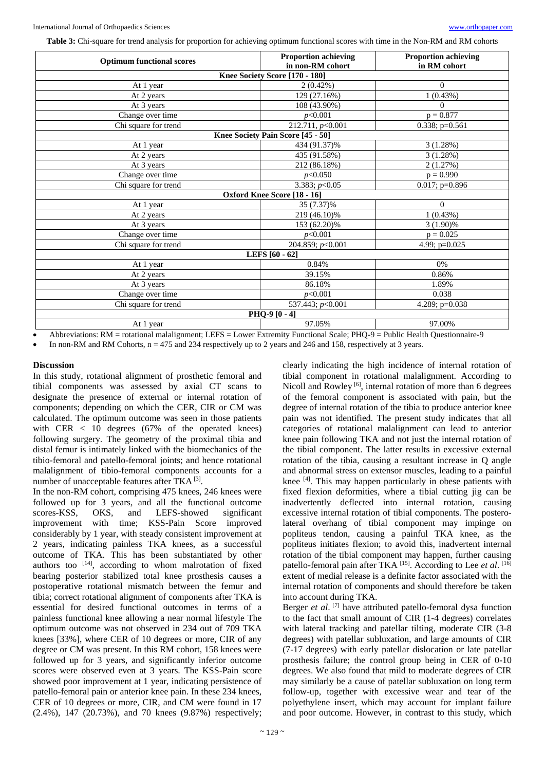**Table 3:** Chi-square for trend analysis for proportion for achieving optimum functional scores with time in the Non-RM and RM cohorts

| <b>Proportion achieving</b>                         | <b>Proportion achieving</b><br>in RM cohort |  |  |  |  |
|-----------------------------------------------------|---------------------------------------------|--|--|--|--|
| Knee Society Score [170 - 180]                      |                                             |  |  |  |  |
| $2(0.42\%)$                                         | $\Omega$                                    |  |  |  |  |
| 129 (27.16%)                                        | 1(0.43%)                                    |  |  |  |  |
| 108 (43.90%)                                        | $\Omega$                                    |  |  |  |  |
| p<0.001                                             | $p = 0.877$                                 |  |  |  |  |
| $\overline{212.711, p<0.001}$                       | 0.338; $p=0.561$                            |  |  |  |  |
| Knee Society Pain Score [45 - 50]                   |                                             |  |  |  |  |
| 434 (91.37)%                                        | 3(1.28%)                                    |  |  |  |  |
| 435 (91.58%)                                        | 3(1.28%)                                    |  |  |  |  |
| 212 (86.18%)                                        | 2(1.27%)                                    |  |  |  |  |
| p<0.050                                             | $p = 0.990$                                 |  |  |  |  |
| 3.383; $p<0.05$                                     | $0.017$ ; p=0.896                           |  |  |  |  |
| Chi square for trend<br>Oxford Knee Score [18 - 16] |                                             |  |  |  |  |
| 35 (7.37)%                                          | $\Omega$                                    |  |  |  |  |
| 219 (46.10)%                                        | 1(0.43%)                                    |  |  |  |  |
| 153 (62.20)%                                        | $3(1.90)\%$                                 |  |  |  |  |
| p<0.001                                             | $p = 0.025$                                 |  |  |  |  |
|                                                     | 4.99; p=0.025                               |  |  |  |  |
| LEFS [60 - 62]                                      |                                             |  |  |  |  |
| 0.84%                                               | 0%                                          |  |  |  |  |
| 39.15%                                              | 0.86%                                       |  |  |  |  |
| 86.18%                                              | 1.89%                                       |  |  |  |  |
| p<0.001                                             | 0.038                                       |  |  |  |  |
| 537.443; p<0.001                                    | 4.289; p=0.038                              |  |  |  |  |
| PHQ-9[0-4]                                          |                                             |  |  |  |  |
| 97.05%                                              | 97.00%                                      |  |  |  |  |
|                                                     | in non-RM cohort<br>204.859; $p<0.001$      |  |  |  |  |

Abbreviations: RM = rotational malalignment; LEFS = Lower Extremity Functional Scale; PHQ-9 = Public Health Questionnaire-9

In non-RM and RM Cohorts, n = 475 and 234 respectively up to 2 years and 246 and 158, respectively at 3 years.

#### **Discussion**

In this study, rotational alignment of prosthetic femoral and tibial components was assessed by axial CT scans to designate the presence of external or internal rotation of components; depending on which the CER, CIR or CM was calculated. The optimum outcome was seen in those patients with CER  $\langle$  10 degrees (67% of the operated knees) following surgery. The geometry of the proximal tibia and distal femur is intimately linked with the biomechanics of the tibio-femoral and patello-femoral joints; and hence rotational malalignment of tibio-femoral components accounts for a number of unacceptable features after TKA<sup>[3]</sup>.

In the non-RM cohort, comprising 475 knees, 246 knees were followed up for 3 years, and all the functional outcome scores-KSS, OKS, and LEFS-showed significant improvement with time; KSS-Pain Score improved considerably by 1 year, with steady consistent improvement at 2 years, indicating painless TKA knees, as a successful outcome of TKA. This has been substantiated by other authors too [14], according to whom malrotation of fixed bearing posterior stabilized total knee prosthesis causes a postoperative rotational mismatch between the femur and tibia; correct rotational alignment of components after TKA is essential for desired functional outcomes in terms of a painless functional knee allowing a near normal lifestyle The optimum outcome was not observed in 234 out of 709 TKA knees [33%], where CER of 10 degrees or more, CIR of any degree or CM was present. In this RM cohort, 158 knees were followed up for 3 years, and significantly inferior outcome scores were observed even at 3 years. The KSS-Pain score showed poor improvement at 1 year, indicating persistence of patello-femoral pain or anterior knee pain. In these 234 knees, CER of 10 degrees or more, CIR, and CM were found in 17 (2.4%), 147 (20.73%), and 70 knees (9.87%) respectively;

clearly indicating the high incidence of internal rotation of tibial component in rotational malalignment. According to Nicoll and Rowley<sup>[6]</sup>, internal rotation of more than 6 degrees of the femoral component is associated with pain, but the degree of internal rotation of the tibia to produce anterior knee pain was not identified. The present study indicates that all categories of rotational malalignment can lead to anterior knee pain following TKA and not just the internal rotation of the tibial component. The latter results in excessive external rotation of the tibia, causing a resultant increase in Q angle and abnormal stress on extensor muscles, leading to a painful knee [4]. This may happen particularly in obese patients with fixed flexion deformities, where a tibial cutting jig can be inadvertently deflected into internal rotation, causing excessive internal rotation of tibial components. The posterolateral overhang of tibial component may impinge on popliteus tendon, causing a painful TKA knee, as the popliteus initiates flexion; to avoid this, inadvertent internal rotation of the tibial component may happen, further causing patello-femoral pain after TKA<sup>[15]</sup>. According to Lee et al. <sup>[16]</sup> extent of medial release is a definite factor associated with the internal rotation of components and should therefore be taken into account during TKA.

Berger *et al.* <sup>[7]</sup> have attributed patello-femoral dysa function to the fact that small amount of CIR (1-4 degrees) correlates with lateral tracking and patellar tilting, moderate CIR (3-8 degrees) with patellar subluxation, and large amounts of CIR (7-17 degrees) with early patellar dislocation or late patellar prosthesis failure; the control group being in CER of 0-10 degrees. We also found that mild to moderate degrees of CIR may similarly be a cause of patellar subluxation on long term follow-up, together with excessive wear and tear of the polyethylene insert, which may account for implant failure and poor outcome. However, in contrast to this study, which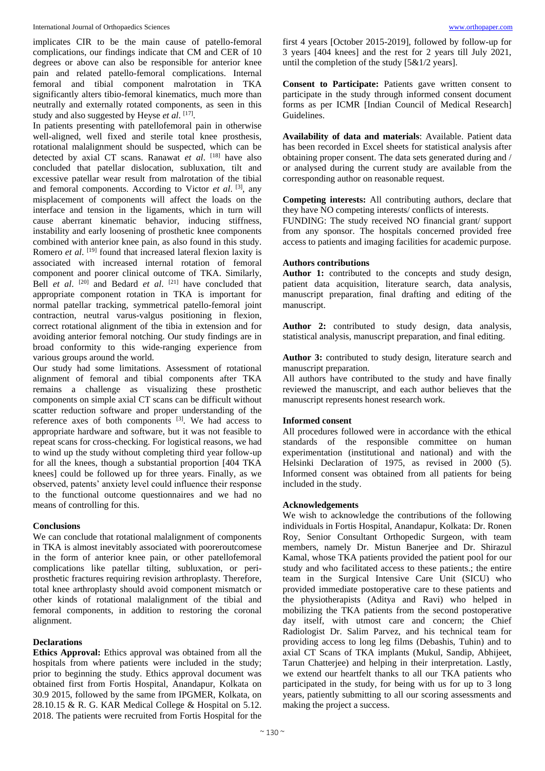implicates CIR to be the main cause of patello-femoral complications, our findings indicate that CM and CER of 10 degrees or above can also be responsible for anterior knee pain and related patello-femoral complications. Internal femoral and tibial component malrotation in TKA significantly alters tibio-femoral kinematics, much more than neutrally and externally rotated components, as seen in this study and also suggested by Heyse et al. [17].

In patients presenting with patellofemoral pain in otherwise well-aligned, well fixed and sterile total knee prosthesis, rotational malalignment should be suspected, which can be detected by axial CT scans. Ranawat *et al*. [18] have also concluded that patellar dislocation, subluxation, tilt and excessive patellar wear result from malrotation of the tibial and femoral components. According to Victor *et al*. [3], any misplacement of components will affect the loads on the interface and tension in the ligaments, which in turn will cause aberrant kinematic behavior, inducing stiffness, instability and early loosening of prosthetic knee components combined with anterior knee pain, as also found in this study. Romero *et al.* <sup>[19]</sup> found that increased lateral flexion laxity is associated with increased internal rotation of femoral component and poorer clinical outcome of TKA. Similarly, Bell *et al*. [20] and Bedard *et al*. [21] have concluded that appropriate component rotation in TKA is important for normal patellar tracking, symmetrical patello-femoral joint contraction, neutral varus-valgus positioning in flexion, correct rotational alignment of the tibia in extension and for avoiding anterior femoral notching. Our study findings are in broad conformity to this wide-ranging experience from various groups around the world.

Our study had some limitations. Assessment of rotational alignment of femoral and tibial components after TKA remains a challenge as visualizing these prosthetic components on simple axial CT scans can be difficult without scatter reduction software and proper understanding of the reference axes of both components  $[3]$ . We had access to appropriate hardware and software, but it was not feasible to repeat scans for cross-checking. For logistical reasons, we had to wind up the study without completing third year follow-up for all the knees, though a substantial proportion [404 TKA knees] could be followed up for three years. Finally, as we observed, patents' anxiety level could influence their response to the functional outcome questionnaires and we had no means of controlling for this.

# **Conclusions**

We can conclude that rotational malalignment of components in TKA is almost inevitably associated with pooreroutcomese in the form of anterior knee pain, or other patellofemoral complications like patellar tilting, subluxation, or periprosthetic fractures requiring revision arthroplasty. Therefore, total knee arthroplasty should avoid component mismatch or other kinds of rotational malalignment of the tibial and femoral components, in addition to restoring the coronal alignment.

# **Declarations**

**Ethics Approval:** Ethics approval was obtained from all the hospitals from where patients were included in the study; prior to beginning the study. Ethics approval document was obtained first from Fortis Hospital, Anandapur, Kolkata on 30.9 2015, followed by the same from IPGMER, Kolkata, on 28.10.15 & R. G. KAR Medical College & Hospital on 5.12. 2018. The patients were recruited from Fortis Hospital for the

first 4 years [October 2015-2019], followed by follow-up for 3 years [404 knees] and the rest for 2 years till July 2021, until the completion of the study [5&1/2 years].

**Consent to Participate:** Patients gave written consent to participate in the study through informed consent document forms as per ICMR [Indian Council of Medical Research] Guidelines.

**Availability of data and materials**: Available. Patient data has been recorded in Excel sheets for statistical analysis after obtaining proper consent. The data sets generated during and / or analysed during the current study are available from the corresponding author on reasonable request.

**Competing interests:** All contributing authors, declare that they have NO competing interests/ conflicts of interests.

FUNDING: The study received NO financial grant/ support from any sponsor. The hospitals concerned provided free access to patients and imaging facilities for academic purpose.

# **Authors contributions**

**Author 1:** contributed to the concepts and study design, patient data acquisition, literature search, data analysis, manuscript preparation, final drafting and editing of the manuscript.

**Author 2:** contributed to study design, data analysis, statistical analysis, manuscript preparation, and final editing.

**Author 3:** contributed to study design, literature search and manuscript preparation.

All authors have contributed to the study and have finally reviewed the manuscript, and each author believes that the manuscript represents honest research work.

# **Informed consent**

All procedures followed were in accordance with the ethical standards of the responsible committee on human experimentation (institutional and national) and with the Helsinki Declaration of 1975, as revised in 2000 (5). Informed consent was obtained from all patients for being included in the study.

#### **Acknowledgements**

We wish to acknowledge the contributions of the following individuals in Fortis Hospital, Anandapur, Kolkata: Dr. Ronen Roy, Senior Consultant Orthopedic Surgeon, with team members, namely Dr. Mistun Banerjee and Dr. Shirazul Kamal, whose TKA patients provided the patient pool for our study and who facilitated access to these patients.; the entire team in the Surgical Intensive Care Unit (SICU) who provided immediate postoperative care to these patients and the physiotherapists (Aditya and Ravi) who helped in mobilizing the TKA patients from the second postoperative day itself, with utmost care and concern; the Chief Radiologist Dr. Salim Parvez, and his technical team for providing access to long leg films (Debashis, Tuhin) and to axial CT Scans of TKA implants (Mukul, Sandip, Abhijeet, Tarun Chatterjee) and helping in their interpretation. Lastly, we extend our heartfelt thanks to all our TKA patients who participated in the study, for being with us for up to 3 long years, patiently submitting to all our scoring assessments and making the project a success.